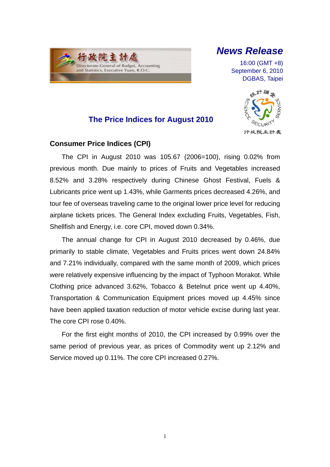## 行政院主計處 Directorate-General of Budget, Accounting and Statistics, Executive Yuan, R.O.C.

 $\overline{a}$ 

# *News Release*

16:00 (GMT +8) September 6, 2010 DGBAS, Taipei



## **The Price Indices for August 2010**

### **Consumer Price Indices (CPI)**

The CPI in August 2010 was 105.67 (2006=100), rising 0.02% from previous month. Due mainly to prices of Fruits and Vegetables increased 8.52% and 3.28% respectively during Chinese Ghost Festival, Fuels & Lubricants price went up 1.43%, while Garments prices decreased 4.26%, and tour fee of overseas traveling came to the original lower price level for reducing airplane tickets prices. The General Index excluding Fruits, Vegetables, Fish, Shellfish and Energy, i.e. core CPI, moved down 0.34%.

The annual change for CPI in August 2010 decreased by 0.46%, due primarily to stable climate, Vegetables and Fruits prices went down 24.84% and 7.21% individually, compared with the same month of 2009, which prices were relatively expensive influencing by the impact of Typhoon Morakot. While Clothing price advanced 3.62%, Tobacco & Betelnut price went up 4.40%, Transportation & Communication Equipment prices moved up 4.45% since have been applied taxation reduction of motor vehicle excise during last year. The core CPI rose 0.40%.

For the first eight months of 2010, the CPI increased by 0.99% over the same period of previous year, as prices of Commodity went up 2.12% and Service moved up 0.11%. The core CPI increased 0.27%.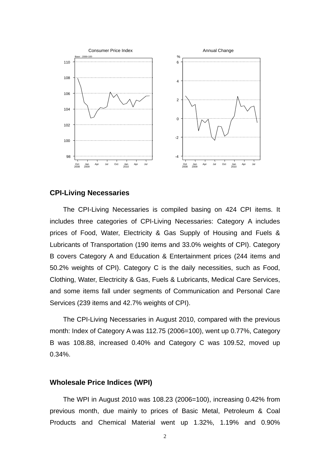

### **CPI-Living Necessaries**

The CPI-Living Necessaries is compiled basing on 424 CPI items. It includes three categories of CPI-Living Necessaries: Category A includes prices of Food, Water, Electricity & Gas Supply of Housing and Fuels & Lubricants of Transportation (190 items and 33.0% weights of CPI). Category B covers Category A and Education & Entertainment prices (244 items and 50.2% weights of CPI). Category C is the daily necessities, such as Food, Clothing, Water, Electricity & Gas, Fuels & Lubricants, Medical Care Services, and some items fall under segments of Communication and Personal Care Services (239 items and 42.7% weights of CPI).

The CPI-Living Necessaries in August 2010, compared with the previous month: Index of Category A was 112.75 (2006=100), went up 0.77%, Category B was 108.88, increased 0.40% and Category C was 109.52, moved up 0.34%.

#### **Wholesale Price Indices (WPI)**

The WPI in August 2010 was 108.23 (2006=100), increasing 0.42% from previous month, due mainly to prices of Basic Metal, Petroleum & Coal Products and Chemical Material went up 1.32%, 1.19% and 0.90%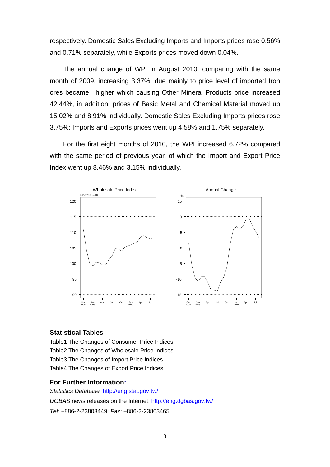respectively. Domestic Sales Excluding Imports and Imports prices rose 0.56% and 0.71% separately, while Exports prices moved down 0.04%.

The annual change of WPI in August 2010, comparing with the same month of 2009, increasing 3.37%, due mainly to price level of imported Iron ores became higher which causing Other Mineral Products price increased 42.44%, in addition, prices of Basic Metal and Chemical Material moved up 15.02% and 8.91% individually. Domestic Sales Excluding Imports prices rose 3.75%; Imports and Exports prices went up 4.58% and 1.75% separately.

For the first eight months of 2010, the WPI increased 6.72% compared with the same period of previous year, of which the Import and Export Price Index went up 8.46% and 3.15% individually.



#### **Statistical Tables**

Table1 The Changes of Consumer Price Indices Table2 The Changes of Wholesale Price Indices Table3 The Changes of Import Price Indices Table4 The Changes of Export Price Indices

#### **For Further Information:**

*Statistics Database:* http://eng.stat.gov.tw/ *DGBAS* news releases on the Internet: http://eng.dgbas.gov.tw/ *Tel:* +886-2-23803449; *Fax:* +886-2-23803465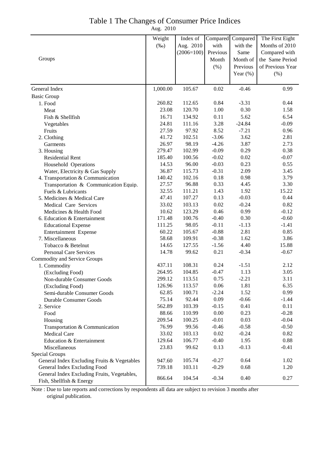### Table 1 The Changes of Consumer Price Indices

Aug. 2010

|                                             | Weight   | Index of     |                    | Compared Compared | The First Eight  |
|---------------------------------------------|----------|--------------|--------------------|-------------------|------------------|
|                                             | $(\%0)$  | Aug. 2010    | with               | with the          | Months of 2010   |
|                                             |          | $(2006=100)$ | Previous           | Same              | Compared with    |
| Groups                                      |          |              | Month              | Month of          | the Same Period  |
|                                             |          |              | $(\%)$             | Previous          | of Previous Year |
|                                             |          |              |                    | Year $(\%)$       |                  |
|                                             |          |              |                    |                   | (% )             |
| General Index                               | 1,000.00 | 105.67       | 0.02               | $-0.46$           | 0.99             |
|                                             |          |              |                    |                   |                  |
| <b>Basic Group</b><br>1. Food               | 260.82   | 112.65       | 0.84               | $-3.31$           | 0.44             |
| Meat                                        | 23.08    | 120.70       | 1.00               | 0.30              | 1.58             |
|                                             | 16.71    | 134.92       | 0.11               | 5.62              | 6.54             |
| Fish & Shellfish                            | 24.81    | 111.16       | 3.28               | $-24.84$          | $-0.09$          |
| Vegetables                                  | 27.59    | 97.92        | 8.52               | $-7.21$           | 0.96             |
| Fruits                                      | 41.72    | 102.51       | $-3.06$            | 3.62              | 2.81             |
| 2. Clothing                                 |          |              |                    | 3.87              |                  |
| Garments                                    | 26.97    | 98.19        | $-4.26$<br>$-0.09$ | 0.29              | 2.73<br>0.38     |
| 3. Housing                                  | 279.47   | 102.99       |                    |                   |                  |
| <b>Residential Rent</b>                     | 185.40   | 100.56       | $-0.02$            | 0.02              | $-0.07$          |
| Household Operations                        | 14.53    | 96.00        | $-0.03$            | 0.23              | 0.55             |
| Water, Electricity & Gas Supply             | 36.87    | 115.73       | $-0.31$            | 2.09              | 3.45             |
| 4. Transportation & Communication           | 140.42   | 102.16       | 0.18               | 0.98              | 3.79             |
| Transportation & Communication Equip.       | 27.57    | 96.88        | 0.33               | 4.45              | 3.30             |
| Fuels & Lubricants                          | 32.55    | 111.21       | 1.43               | 1.92              | 15.22            |
| 5. Medicines & Medical Care                 | 47.41    | 107.27       | 0.13               | $-0.03$           | 0.44             |
| Medical Care Services                       | 33.02    | 103.13       | 0.02               | $-0.24$           | 0.82             |
| Medicines & Health Food                     | 10.62    | 123.29       | 0.46               | 0.99              | $-0.12$          |
| 6. Education & Entertainment                | 171.48   | 100.76       | $-0.40$            | 0.30              | $-0.60$          |
| <b>Educational Expense</b>                  | 111.25   | 98.05        | $-0.11$            | $-1.13$           | $-1.41$          |
| Entertainment Expense                       | 60.22    | 105.67       | $-0.88$            | 2.81              | 0.85             |
| 7. Miscellaneous                            | 58.68    | 109.91       | $-0.38$            | 1.62              | 3.86             |
| Tobacco & Betelnut                          | 14.65    | 127.55       | $-1.56$            | 4.40              | 15.88            |
| <b>Personal Care Services</b>               | 14.78    | 99.62        | 0.21               | $-0.34$           | $-0.67$          |
| Commodity and Service Groups                |          |              |                    |                   |                  |
| 1. Commodity                                | 437.11   | 108.31       | 0.24               | $-1.51$           | 2.12             |
| (Excluding Food)                            | 264.95   | 104.85       | $-0.47$            | 1.13              | 3.05             |
| Non-durable Consumer Goods                  | 299.12   | 113.51       | 0.75               | $-2.21$           | 3.11             |
| (Excluding Food)                            | 126.96   | 113.57       | 0.06               | 1.81              | 6.35             |
| Semi-durable Consumer Goods                 | 62.85    | 100.71       | $-2.24$            | 1.52              | 0.99             |
| Durable Consumer Goods                      | 75.14    | 92.44        | 0.09               | $-0.66$           | $-1.44$          |
| 2. Service                                  | 562.89   | 103.39       | $-0.15$            | 0.41              | 0.11             |
| Food                                        | 88.66    | 110.99       | 0.00               | 0.23              | $-0.28$          |
| Housing                                     | 209.54   | 100.25       | $-0.01$            | 0.03              | $-0.04$          |
| Transportation & Communication              | 76.99    | 99.56        | $-0.46$            | $-0.58$           | $-0.50$          |
| <b>Medical Care</b>                         | 33.02    | 103.13       | 0.02               | $-0.24$           | 0.82             |
| Education & Entertainment                   | 129.64   | 106.77       | $-0.40$            | 1.95              | 0.88             |
| Miscellaneous                               | 23.83    | 99.62        | 0.13               | $-0.13$           | $-0.41$          |
| Special Groups                              |          |              |                    |                   |                  |
| General Index Excluding Fruits & Vegetables | 947.60   | 105.74       | $-0.27$            | 0.64              | 1.02             |
| General Index Excluding Food                | 739.18   | 103.11       | $-0.29$            | 0.68              | 1.20             |
| General Index Excluding Fruits, Vegetables, | 866.64   | 104.54       | $-0.34$            | 0.40              | 0.27             |
| Fish, Shellfish & Energy                    |          |              |                    |                   |                  |

Note : Due to late reports and corrections by respondents all data are subject to revision 3 months after original publication.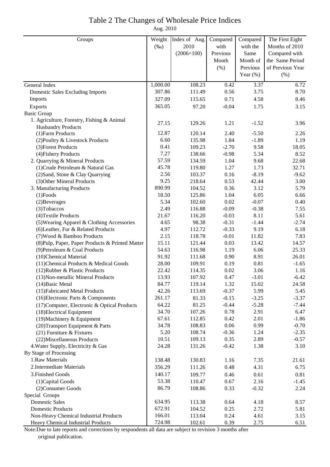### Table 2 The Changes of Wholesale Price Indices

Aug. 2010

| Groups                                                               | Weight         | Index of Aug.    | Compared        | Compared      | The First Eight  |
|----------------------------------------------------------------------|----------------|------------------|-----------------|---------------|------------------|
|                                                                      | $(\%0)$        | 2010             | with            | with the      | Months of 2010   |
|                                                                      |                | $(2006=100)$     | Previous        | Same          | Compared with    |
|                                                                      |                |                  | Month           | Month of      | the Same Period  |
|                                                                      |                |                  | (% )            | Previous      | of Previous Year |
|                                                                      |                |                  |                 | Year $(\%)$   | (% )             |
| General Index                                                        | 1,000.00       | 108.23           | 0.42            | 3.37          | 6.72             |
| <b>Domestic Sales Excluding Imports</b>                              | 307.86         | 111.49           | 0.56            | 3.75          | 8.70             |
| Imports                                                              | 327.09         | 115.65           | 0.71            | 4.58          | 8.46             |
| Exports                                                              | 365.05         | 97.20            | $-0.04$         | 1.75          | 3.15             |
| <b>Basic Group</b>                                                   |                |                  |                 |               |                  |
| 1. Agriculture, Forestry, Fishing & Animal                           | 27.15          | 129.26           | 1.21            | $-1.52$       | 3.96             |
| <b>Husbandry Products</b>                                            |                |                  |                 |               |                  |
| (1) Farm Products                                                    | 12.87          | 120.14           | 2.40            | $-5.50$       | 2.26             |
| (2) Poultry & Livestock Products                                     | 6.60           | 135.98           | 1.84            | $-1.89$       | 1.19             |
| (3) Forest Products                                                  | 0.41           | 109.23           | $-2.70$         | 9.58          | 18.05            |
| (4) Fishery Products                                                 | 7.27           | 138.66           | $-0.98$         | 5.34          | 8.52             |
| 2. Quarrying & Mineral Products                                      | 57.59          | 134.59           | 1.04            | 9.68          | 22.68            |
| (1) Crude Petroleum & Natural Gas                                    | 45.78          | 119.80           | 1.27            | 1.73          | 32.71            |
| (2) Sand, Stone & Clay Quarrying                                     | 2.56           | 103.37           | 0.16            | $-8.19$       | $-9.62$          |
| (3) Other Mineral Products                                           | 9.25           | 218.64           | 0.53            | 42.44         | 3.00             |
| 3. Manufacturing Products                                            | 890.99         | 104.52           | 0.36            | 3.12          | 5.79             |
| $(1)$ Foods                                                          | 18.50          | 125.86           | 1.04            | 6.05          | 6.66             |
| (2) Beverages                                                        | 5.34           | 102.60           | 0.02            | $-0.07$       | 0.40             |
| (3) Tobaccos                                                         | 2.49           | 116.88           | $-0.09$         | $-0.38$       | 7.55             |
| (4) Textile Products                                                 | 21.67          | 116.20           | $-0.03$         | 8.11          | 5.61             |
| (5) Wearing Apparel & Clothing Accessories                           | 4.65           | 98.38            | $-0.31$         | $-1.44$       | $-2.74$          |
| (6) Leather, Fur & Related Products                                  | 4.97           | 112.72           | $-0.33$         | 9.19          | 6.18             |
| (7) Wood & Bamboo Products                                           | 2.15           | 118.78           | $-0.01$         | 11.82         | 7.83             |
| (8) Pulp, Paper, Paper Products & Printed Matter                     | 15.11          | 121.44           | 0.03            | 13.42         | 14.57            |
| (9) Petroleum & Coal Products                                        | 54.63          | 116.98           | 1.19            | 6.06          | 25.33            |
| (10)Chemical Material                                                | 91.92          | 111.68           | 0.90            | 8.91          | 26.01            |
| (11) Chemical Products & Medical Goods                               | 28.00          | 109.91           | 0.19            | 0.81          | $-1.65$          |
| (12) Rubber & Plastic Products                                       | 22.42<br>13.93 | 114.35           | 0.02            | 3.06          | 1.16             |
| (13) Non-metallic Mineral Products                                   |                | 107.92           | 0.47            | $-3.01$       | $-6.42$<br>24.58 |
| $(14)$ Basic Metal                                                   | 84.77<br>42.26 | 119.14<br>113.69 | 1.32<br>$-0.37$ | 15.02<br>5.99 |                  |
| (15) Fabricated Metal Products<br>(16) Electronic Parts & Components | 261.17         |                  | $-0.15$         | $-3.25$       | 5.45             |
| (17) Computer, Electronic & Optical Products                         | 64.22          | 81.33<br>81.25   | $-0.44$         | $-5.28$       | $-3.37$          |
| (18) Electrical Equipment                                            | 34.70          | 107.26           | 0.78            | 2.91          | $-7.44$<br>6.47  |
| (19) Machinery & Equipment                                           | 67.61          | 112.85           | 0.42            | 2.01          | $-1.86$          |
| (20) Transport Equipment & Parts                                     | 34.78          | 108.83           | 0.06            | 0.99          | $-0.70$          |
| $(21)$ Furniture & Fixtures                                          | 5.20           | 108.74           | $-0.36$         | 1.24          | $-2.35$          |
| (22) Miscellaneous Products                                          | 10.51          | 109.13           | 0.35            | 2.89          | $-0.57$          |
| 4. Water Supply, Electricity & Gas                                   | 24.28          | 131.26           | $-0.42$         | 1.38          | 3.10             |
| By Stage of Processing                                               |                |                  |                 |               |                  |
| 1.Raw Materials                                                      | 138.48         | 130.83           | 1.16            | 7.35          | 21.61            |
| 2. Intermediate Materials                                            | 356.29         | 111.26           | 0.48            | 4.31          | 6.75             |
| 3. Finished Goods                                                    | 140.17         | 109.77           | 0.46            | 0.61          | 0.81             |
| (1) Capital Goods                                                    | 53.38          | 110.47           | 0.67            | 2.16          | $-1.45$          |
| (2) Consumer Goods                                                   | 86.79          | 108.86           | 0.33            | $-0.32$       | 2.24             |
| Special Groups                                                       |                |                  |                 |               |                  |
| <b>Domestic Sales</b>                                                | 634.95         | 113.38           | 0.64            | 4.18          | 8.57             |
| <b>Domestic Products</b>                                             | 672.91         | 104.52           | 0.25            | 2.72          | 5.81             |
| Non-Heavy Chemical Industrial Products                               | 166.01         | 113.04           | 0.24            | 4.61          | 3.15             |
| Heavy Chemical Industrial Products                                   | 724.98         | 102.61           | 0.39            | 2.75          | 6.51             |

Note:Due to late reports and corrections by respondents all data are subject to revision 3 months after original publication.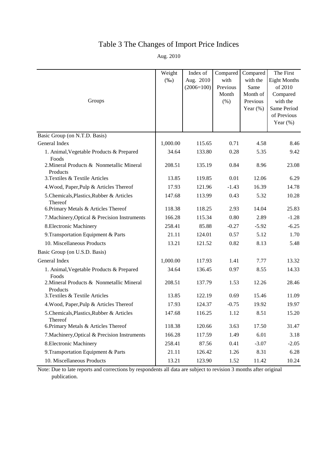## Table 3 The Changes of Import Price Indices

Aug. 2010

| Groups                                                | Weight<br>$(\%0)$ | Index of<br>Aug. 2010<br>$(2006=100)$ | Compared<br>with<br>Previous<br>Month<br>(% ) | Compared<br>with the<br>Same<br>Month of<br>Previous | The First<br><b>Eight Months</b><br>of 2010<br>Compared<br>with the |
|-------------------------------------------------------|-------------------|---------------------------------------|-----------------------------------------------|------------------------------------------------------|---------------------------------------------------------------------|
|                                                       |                   |                                       |                                               | Year $(\%)$                                          | Same Period<br>of Previous<br>Year $(\%)$                           |
| Basic Group (on N.T.D. Basis)                         |                   |                                       |                                               |                                                      |                                                                     |
| General Index                                         | 1,000.00          | 115.65                                | 0.71                                          | 4.58                                                 | 8.46                                                                |
| 1. Animal, Vegetable Products & Prepared<br>Foods     | 34.64             | 133.80                                | 0.28                                          | 5.35                                                 | 9.42                                                                |
| 2. Mineral Products & Nonmetallic Mineral<br>Products | 208.51            | 135.19                                | 0.84                                          | 8.96                                                 | 23.08                                                               |
| 3. Textiles & Textile Articles                        | 13.85             | 119.85                                | 0.01                                          | 12.06                                                | 6.29                                                                |
| 4. Wood, Paper, Pulp & Articles Thereof               | 17.93             | 121.96                                | $-1.43$                                       | 16.39                                                | 14.78                                                               |
| 5. Chemicals, Plastics, Rubber & Articles<br>Thereof  | 147.68            | 113.99                                | 0.43                                          | 5.32                                                 | 10.28                                                               |
| 6. Primary Metals & Articles Thereof                  | 118.38            | 118.25                                | 2.93                                          | 14.04                                                | 25.83                                                               |
| 7. Machinery, Optical & Precision Instruments         | 166.28            | 115.34                                | 0.80                                          | 2.89                                                 | $-1.28$                                                             |
| 8. Electronic Machinery                               | 258.41            | 85.88                                 | $-0.27$                                       | $-5.92$                                              | $-6.25$                                                             |
| 9. Transportation Equipment & Parts                   | 21.11             | 124.01                                | 0.57                                          | 5.12                                                 | 1.70                                                                |
| 10. Miscellaneous Products                            | 13.21             | 121.52                                | 0.82                                          | 8.13                                                 | 5.48                                                                |
| Basic Group (on U.S.D. Basis)                         |                   |                                       |                                               |                                                      |                                                                     |
| General Index                                         | 1,000.00          | 117.93                                | 1.41                                          | 7.77                                                 | 13.32                                                               |
| 1. Animal, Vegetable Products & Prepared<br>Foods     | 34.64             | 136.45                                | 0.97                                          | 8.55                                                 | 14.33                                                               |
| 2. Mineral Products & Nonmetallic Mineral<br>Products | 208.51            | 137.79                                | 1.53                                          | 12.26                                                | 28.46                                                               |
| 3. Textiles & Textile Articles                        | 13.85             | 122.19                                | 0.69                                          | 15.46                                                | 11.09                                                               |
| 4. Wood, Paper, Pulp & Articles Thereof               | 17.93             | 124.37                                | $-0.75$                                       | 19.92                                                | 19.97                                                               |
| 5. Chemicals, Plastics, Rubber & Articles<br>Thereof  | 147.68            | 116.25                                | 1.12                                          | 8.51                                                 | 15.20                                                               |
| 6. Primary Metals & Articles Thereof                  | 118.38            | 120.66                                | 3.63                                          | 17.50                                                | 31.47                                                               |
| 7. Machinery, Optical & Precision Instruments         | 166.28            | 117.59                                | 1.49                                          | 6.01                                                 | 3.18                                                                |
| 8. Electronic Machinery                               | 258.41            | 87.56                                 | 0.41                                          | $-3.07$                                              | $-2.05$                                                             |
| 9. Transportation Equipment & Parts                   | 21.11             | 126.42                                | 1.26                                          | 8.31                                                 | 6.28                                                                |
| 10. Miscellaneous Products                            | 13.21             | 123.90                                | 1.52                                          | 11.42                                                | 10.24                                                               |

Note: Due to late reports and corrections by respondents all data are subject to revision 3 months after original publication.